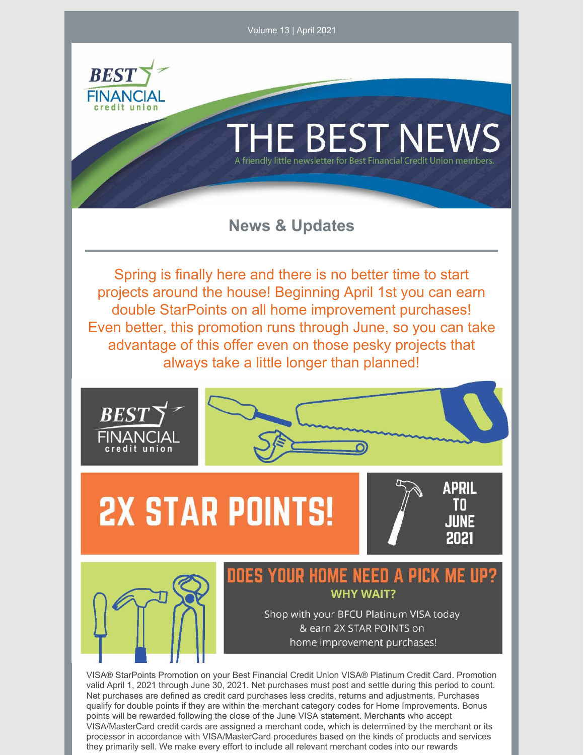

VISA/MasterCard credit cards are assigned a merchant code, which is determined by the merchant or its processor in accordance with VISA/MasterCard procedures based on the kinds of products and services they primarily sell. We make every effort to include all relevant merchant codes into our rewards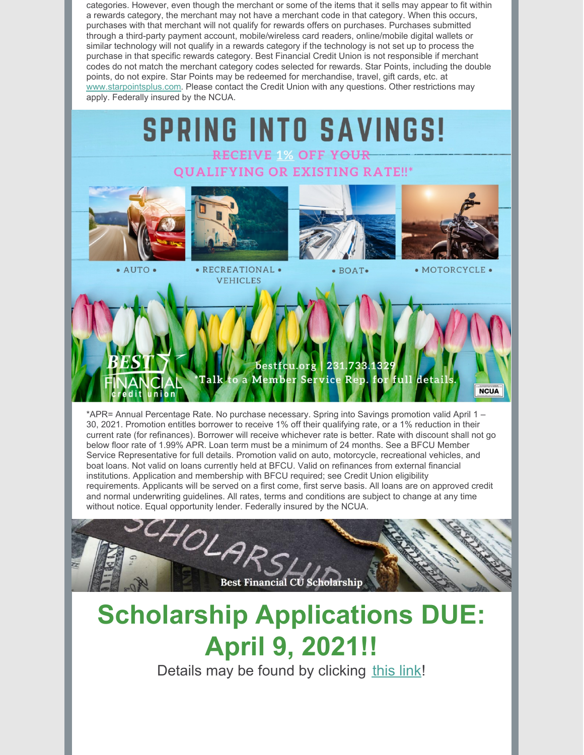categories. However, even though the merchant or some of the items that it sells may appear to fit within a rewards category, the merchant may not have a merchant code in that category. When this occurs, purchases with that merchant will not qualify for rewards offers on purchases. Purchases submitted through a third-party payment account, mobile/wireless card readers, online/mobile digital wallets or similar technology will not qualify in a rewards category if the technology is not set up to process the purchase in that specific rewards category. Best Financial Credit Union is not responsible if merchant codes do not match the merchant category codes selected for rewards. Star Points, including the double points, do not expire. Star Points may be redeemed for merchandise, travel, gift cards, etc. at www.starpointsplus.com. Please contact the Credit Union with any questions. Other restrictions may apply. Federally insured by the NCUA.



\*APR= Annual Percentage Rate. No purchase necessary. Spring into Savings promotion valid April 1 – 30, 2021. Promotion entitles borrower to receive 1% off their qualifying rate, or a 1% reduction in their current rate (for refinances). Borrower will receive whichever rate is better. Rate with discount shall not go below floor rate of 1.99% APR. Loan term must be a minimum of 24 months. See a BFCU Member Service Representative for full details. Promotion valid on auto, motorcycle, recreational vehicles, and boat loans. Not valid on loans currently held at BFCU. Valid on refinances from external financial institutions. Application and membership with BFCU required; see Credit Union eligibility requirements. Applicants will be served on a first come, first serve basis. All loans are on approved credit and normal underwriting guidelines. All rates, terms and conditions are subject to change at any time



## **Scholarship Applications DUE: April 9, 2021!!**

Details may be found by clicking this link!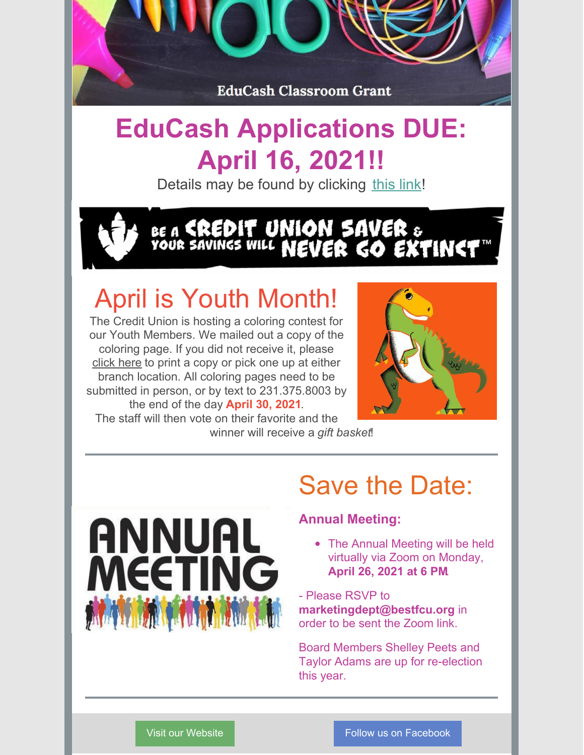

#### **EduCash Applications DUE: April 16, 2021!!**

Details may be found by clicking this link!

# BE A **EREDIT UNION SAVER** &<br>YOUR SAVINES WILL **NEVER GO EXTINET**

### April is Youth Month!

The Credit Union is hosting a coloring contest for our Youth Members. We mailed out a copy of the coloring page. If you did not receive it, please click here to print a copy or pick one up at either branch location. All coloring pages need to be submitted in person, or by text to 231.375.8003 by the end of the day **April 30, 2021**.



The staff will then vote on their favorite and the winner will receive a *gift basket*!



#### Save the Date:

#### **Annual Meeting:**

• The Annual Meeting will be held virtually via Zoom on Monday, **April 26, 2021 at 6 PM**.

- Please RSVP to **marketingdept@bestfcu.org** in order to be sent the Zoom link.

Board Members Shelley Peets and Taylor Adams are up for re-election this year.